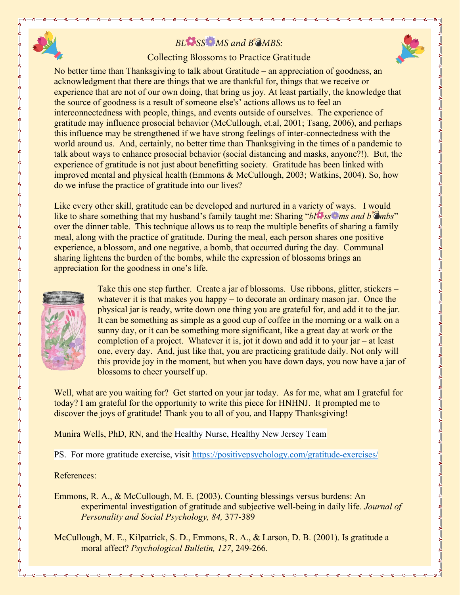## *BL SS MS and B MBS:*



No better time than Thanksgiving to talk about Gratitude – an appreciation of goodness, an acknowledgment that there are things that we are thankful for, things that we receive or experience that are not of our own doing, that bring us joy. At least partially, the knowledge that the source of goodness is a result of someone else's' actions allows us to feel an interconnectedness with people, things, and events outside of ourselves. The experience of gratitude may influence prosocial behavior (McCullough, et.al, 2001; Tsang, 2006), and perhaps this influence may be strengthened if we have strong feelings of inter-connectedness with the world around us. And, certainly, no better time than Thanksgiving in the times of a pandemic to talk about ways to enhance prosocial behavior (social distancing and masks, anyone?!). But, the experience of gratitude is not just about benefitting society. Gratitude has been linked with improved mental and physical health (Emmons & McCullough, 2003; Watkins, 2004). So, how do we infuse the practice of gratitude into our lives?

Like every other skill, gratitude can be developed and nurtured in a variety of ways. I would like to share something that my husband's family taught me: Sharing "*bl* **e**ssenting and b  $\hat{\sigma}$  *mbs*" over the dinner table. This technique allows us to reap the multiple benefits of sharing a family meal, along with the practice of gratitude. During the meal, each person shares one positive experience, a blossom, and one negative, a bomb, that occurred during the day. Communal sharing lightens the burden of the bombs, while the expression of blossoms brings an appreciation for the goodness in one's life.



Take this one step further. Create a jar of blossoms. Use ribbons, glitter, stickers – whatever it is that makes you happy – to decorate an ordinary mason jar. Once the physical jar is ready, write down one thing you are grateful for, and add it to the jar. It can be something as simple as a good cup of coffee in the morning or a walk on a sunny day, or it can be something more significant, like a great day at work or the completion of a project. Whatever it is, jot it down and add it to your jar – at least one, every day. And, just like that, you are practicing gratitude daily. Not only will this provide joy in the moment, but when you have down days, you now have a jar of blossoms to cheer yourself up.

Well, what are you waiting for? Get started on your jar today. As for me, what am I grateful for today? I am grateful for the opportunity to write this piece for HNHNJ. It prompted me to discover the joys of gratitude! Thank you to all of you, and Happy Thanksgiving!

Munira Wells, PhD, RN, and the Healthy Nurse, Healthy New Jersey Team

PS. For more gratitude exercise, visit<https://positivepsychology.com/gratitude-exercises/>

References:

Emmons, R. A., & McCullough, M. E. (2003). Counting blessings versus burdens: An experimental investigation of gratitude and subjective well-being in daily life. *Journal of Personality and Social Psychology, 84,* 377-389

McCullough, M. E., Kilpatrick, S. D., Emmons, R. A., & Larson, D. B. (2001). Is gratitude a moral affect? *Psychological Bulletin, 127*, 249-266.